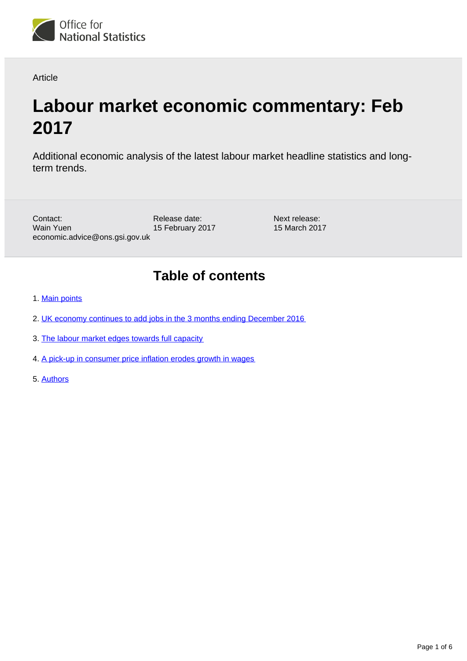

Article

# **Labour market economic commentary: Feb 2017**

Additional economic analysis of the latest labour market headline statistics and longterm trends.

Contact: Wain Yuen economic.advice@ons.gsi.gov.uk

Release date: 15 February 2017

Next release: 15 March 2017

## **Table of contents**

- 1. [Main points](#page-1-0)
- 2. [UK economy continues to add jobs in the 3 months ending December 2016](#page-1-1)
- 3. [The labour market edges towards full capacity](#page-2-0)
- 4. [A pick-up in consumer price inflation erodes growth in wages](#page-4-0)
- 5. [Authors](#page-5-0)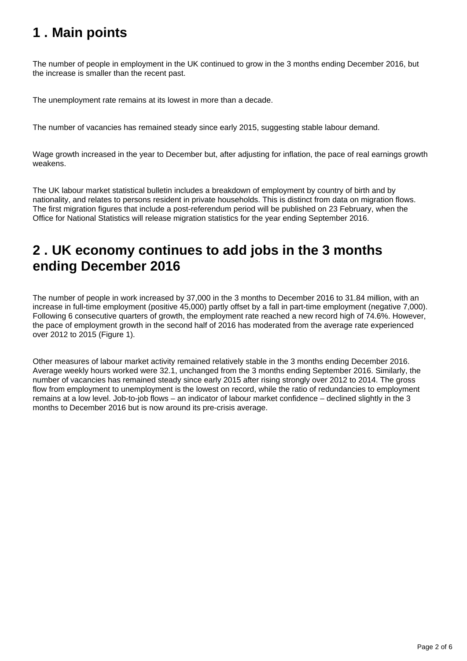### <span id="page-1-0"></span>**1 . Main points**

The number of people in employment in the UK continued to grow in the 3 months ending December 2016, but the increase is smaller than the recent past.

The unemployment rate remains at its lowest in more than a decade.

The number of vacancies has remained steady since early 2015, suggesting stable labour demand.

Wage growth increased in the year to December but, after adjusting for inflation, the pace of real earnings growth weakens.

The UK labour market statistical bulletin includes a breakdown of employment by country of birth and by nationality, and relates to persons resident in private households. This is distinct from data on migration flows. The first migration figures that include a post-referendum period will be published on 23 February, when the Office for National Statistics will release migration statistics for the year ending September 2016.

### <span id="page-1-1"></span>**2 . UK economy continues to add jobs in the 3 months ending December 2016**

The number of people in work increased by 37,000 in the 3 months to December 2016 to 31.84 million, with an increase in full-time employment (positive 45,000) partly offset by a fall in part-time employment (negative 7,000). Following 6 consecutive quarters of growth, the employment rate reached a new record high of 74.6%. However, the pace of employment growth in the second half of 2016 has moderated from the average rate experienced over 2012 to 2015 (Figure 1).

Other measures of labour market activity remained relatively stable in the 3 months ending December 2016. Average weekly hours worked were 32.1, unchanged from the 3 months ending September 2016. Similarly, the number of vacancies has remained steady since early 2015 after rising strongly over 2012 to 2014. The gross flow from employment to unemployment is the lowest on record, while the ratio of redundancies to employment remains at a low level. Job-to-job flows – an indicator of labour market confidence – declined slightly in the 3 months to December 2016 but is now around its pre-crisis average.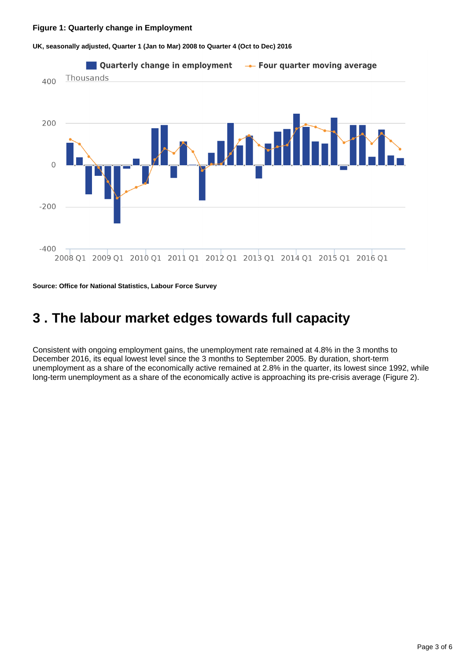#### **Figure 1: Quarterly change in Employment**



**UK, seasonally adjusted, Quarter 1 (Jan to Mar) 2008 to Quarter 4 (Oct to Dec) 2016**

**Source: Office for National Statistics, Labour Force Survey**

### <span id="page-2-0"></span>**3 . The labour market edges towards full capacity**

Consistent with ongoing employment gains, the unemployment rate remained at 4.8% in the 3 months to December 2016, its equal lowest level since the 3 months to September 2005. By duration, short-term unemployment as a share of the economically active remained at 2.8% in the quarter, its lowest since 1992, while long-term unemployment as a share of the economically active is approaching its pre-crisis average (Figure 2).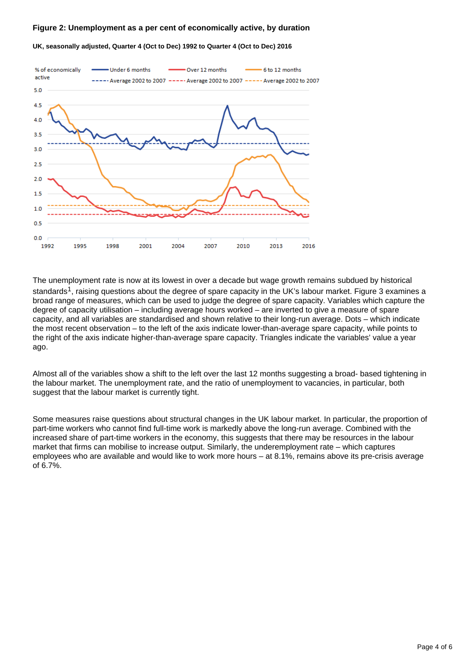#### **Figure 2: Unemployment as a per cent of economically active, by duration**



**UK, seasonally adjusted, Quarter 4 (Oct to Dec) 1992 to Quarter 4 (Oct to Dec) 2016**

The unemployment rate is now at its lowest in over a decade but wage growth remains subdued by historical standards<sup>1</sup>, raising questions about the degree of spare capacity in the UK's labour market. Figure 3 examines a broad range of measures, which can be used to judge the degree of spare capacity. Variables which capture the degree of capacity utilisation – including average hours worked – are inverted to give a measure of spare capacity, and all variables are standardised and shown relative to their long-run average. Dots – which indicate the most recent observation – to the left of the axis indicate lower-than-average spare capacity, while points to the right of the axis indicate higher-than-average spare capacity. Triangles indicate the variables' value a year ago.

Almost all of the variables show a shift to the left over the last 12 months suggesting a broad- based tightening in the labour market. The unemployment rate, and the ratio of unemployment to vacancies, in particular, both suggest that the labour market is currently tight.

Some measures raise questions about structural changes in the UK labour market. In particular, the proportion of part-time workers who cannot find full-time work is markedly above the long-run average. Combined with the increased share of part-time workers in the economy, this suggests that there may be resources in the labour market that firms can mobilise to increase output. Similarly, the underemployment rate – which captures employees who are available and would like to work more hours – at 8.1%, remains above its pre-crisis average of 6.7%.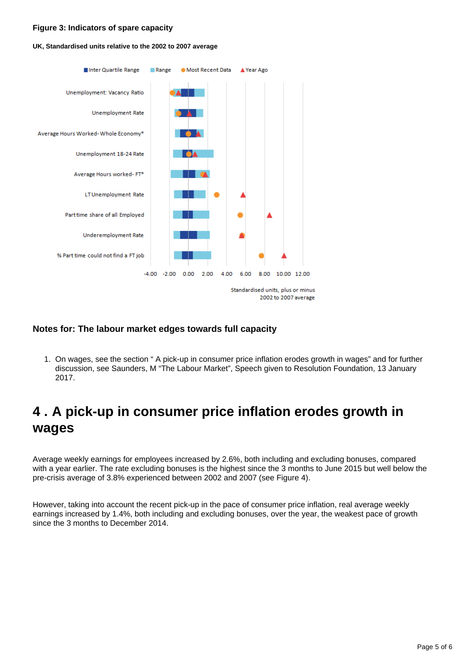#### **Figure 3: Indicators of spare capacity**

#### **UK, Standardised units relative to the 2002 to 2007 average**



### **Notes for: The labour market edges towards full capacity**

1. On wages, see the section " A pick-up in consumer price inflation erodes growth in wages" and for further discussion, see Saunders, M "The Labour Market", Speech given to Resolution Foundation, 13 January 2017.

### <span id="page-4-0"></span>**4 . A pick-up in consumer price inflation erodes growth in wages**

Average weekly earnings for employees increased by 2.6%, both including and excluding bonuses, compared with a year earlier. The rate excluding bonuses is the highest since the 3 months to June 2015 but well below the pre-crisis average of 3.8% experienced between 2002 and 2007 (see Figure 4).

However, taking into account the recent pick-up in the pace of consumer price inflation, real average weekly earnings increased by 1.4%, both including and excluding bonuses, over the year, the weakest pace of growth since the 3 months to December 2014.